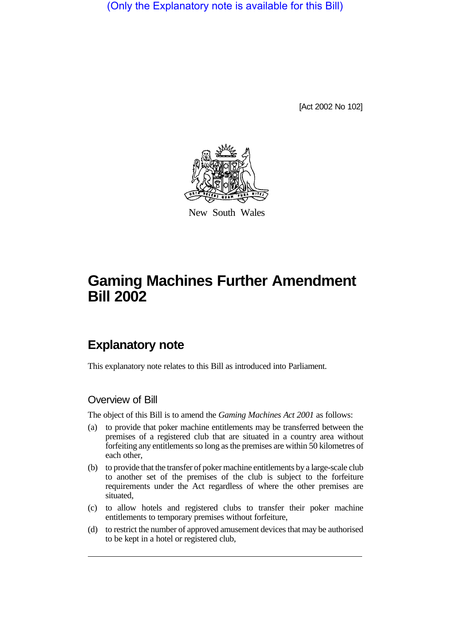(Only the Explanatory note is available for this Bill)

[Act 2002 No 102]



New South Wales

# **Gaming Machines Further Amendment Bill 2002**

# **Explanatory note**

This explanatory note relates to this Bill as introduced into Parliament.

#### Overview of Bill

The object of this Bill is to amend the *Gaming Machines Act 2001* as follows:

- (a) to provide that poker machine entitlements may be transferred between the premises of a registered club that are situated in a country area without forfeiting any entitlements so long as the premises are within 50 kilometres of each other,
- (b) to provide that the transfer of poker machine entitlements by a large-scale club to another set of the premises of the club is subject to the forfeiture requirements under the Act regardless of where the other premises are situated,
- (c) to allow hotels and registered clubs to transfer their poker machine entitlements to temporary premises without forfeiture,
- (d) to restrict the number of approved amusement devices that may be authorised to be kept in a hotel or registered club,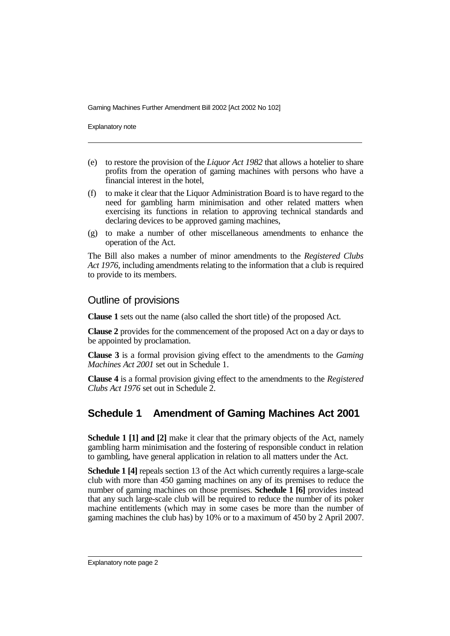Explanatory note

- (e) to restore the provision of the *Liquor Act 1982* that allows a hotelier to share profits from the operation of gaming machines with persons who have a financial interest in the hotel,
- (f) to make it clear that the Liquor Administration Board is to have regard to the need for gambling harm minimisation and other related matters when exercising its functions in relation to approving technical standards and declaring devices to be approved gaming machines,
- (g) to make a number of other miscellaneous amendments to enhance the operation of the Act.

The Bill also makes a number of minor amendments to the *Registered Clubs Act 1976*, including amendments relating to the information that a club is required to provide to its members.

#### Outline of provisions

**Clause 1** sets out the name (also called the short title) of the proposed Act.

**Clause 2** provides for the commencement of the proposed Act on a day or days to be appointed by proclamation.

**Clause 3** is a formal provision giving effect to the amendments to the *Gaming Machines Act 2001* set out in Schedule 1.

**Clause 4** is a formal provision giving effect to the amendments to the *Registered Clubs Act 1976* set out in Schedule 2.

### **Schedule 1 Amendment of Gaming Machines Act 2001**

**Schedule 1 [1] and [2]** make it clear that the primary objects of the Act, namely gambling harm minimisation and the fostering of responsible conduct in relation to gambling, have general application in relation to all matters under the Act.

**Schedule 1 [4]** repeals section 13 of the Act which currently requires a large-scale club with more than 450 gaming machines on any of its premises to reduce the number of gaming machines on those premises. **Schedule 1 [6]** provides instead that any such large-scale club will be required to reduce the number of its poker machine entitlements (which may in some cases be more than the number of gaming machines the club has) by 10% or to a maximum of 450 by 2 April 2007.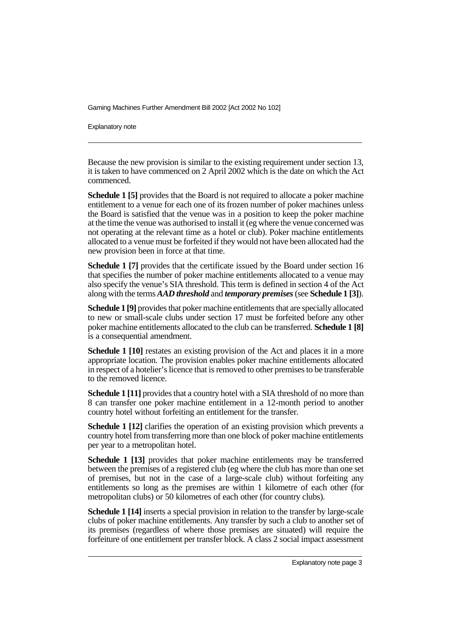Explanatory note

Because the new provision is similar to the existing requirement under section 13, it is taken to have commenced on 2 April 2002 which is the date on which the Act commenced.

**Schedule 1 [5]** provides that the Board is not required to allocate a poker machine entitlement to a venue for each one of its frozen number of poker machines unless the Board is satisfied that the venue was in a position to keep the poker machine at the time the venue was authorised to install it (eg where the venue concerned was not operating at the relevant time as a hotel or club). Poker machine entitlements allocated to a venue must be forfeited if they would not have been allocated had the new provision been in force at that time.

**Schedule 1 [7]** provides that the certificate issued by the Board under section 16 that specifies the number of poker machine entitlements allocated to a venue may also specify the venue's SIA threshold. This term is defined in section 4 of the Act along with the terms*AAD threshold* and *temporary premises*(see **Schedule 1 [3]**).

**Schedule 1 [9]** provides that poker machine entitlements that are specially allocated to new or small-scale clubs under section 17 must be forfeited before any other poker machine entitlements allocated to the club can be transferred. **Schedule 1 [8]** is a consequential amendment.

**Schedule 1 [10]** restates an existing provision of the Act and places it in a more appropriate location. The provision enables poker machine entitlements allocated in respect of a hotelier's licence that is removed to other premises to be transferable to the removed licence.

**Schedule 1 [11]** provides that a country hotel with a SIA threshold of no more than 8 can transfer one poker machine entitlement in a 12-month period to another country hotel without forfeiting an entitlement for the transfer.

**Schedule 1 [12]** clarifies the operation of an existing provision which prevents a country hotel from transferring more than one block of poker machine entitlements per year to a metropolitan hotel.

**Schedule 1 [13]** provides that poker machine entitlements may be transferred between the premises of a registered club (eg where the club has more than one set of premises, but not in the case of a large-scale club) without forfeiting any entitlements so long as the premises are within 1 kilometre of each other (for metropolitan clubs) or 50 kilometres of each other (for country clubs).

**Schedule 1 [14]** inserts a special provision in relation to the transfer by large-scale clubs of poker machine entitlements. Any transfer by such a club to another set of its premises (regardless of where those premises are situated) will require the forfeiture of one entitlement per transfer block. A class 2 social impact assessment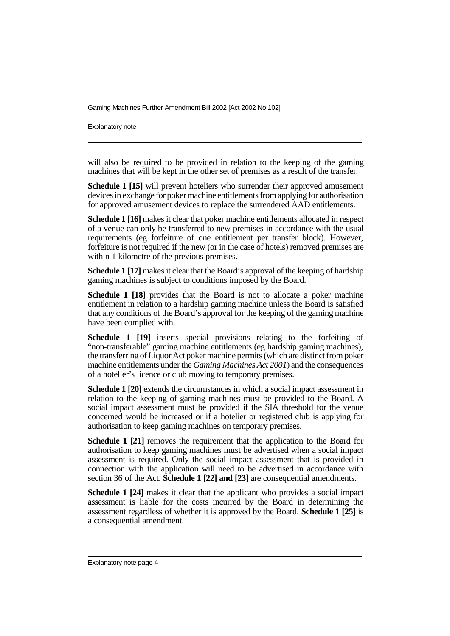Explanatory note

will also be required to be provided in relation to the keeping of the gaming machines that will be kept in the other set of premises as a result of the transfer.

**Schedule 1 [15]** will prevent hoteliers who surrender their approved amusement devices in exchange for poker machine entitlements from applying for authorisation for approved amusement devices to replace the surrendered AAD entitlements.

**Schedule 1 [16]** makes it clear that poker machine entitlements allocated in respect of a venue can only be transferred to new premises in accordance with the usual requirements (eg forfeiture of one entitlement per transfer block). However, forfeiture is not required if the new (or in the case of hotels) removed premises are within 1 kilometre of the previous premises.

**Schedule 1 [17]** makes it clear that the Board's approval of the keeping of hardship gaming machines is subject to conditions imposed by the Board.

**Schedule 1 [18]** provides that the Board is not to allocate a poker machine entitlement in relation to a hardship gaming machine unless the Board is satisfied that any conditions of the Board's approval for the keeping of the gaming machine have been complied with.

**Schedule 1 [19]** inserts special provisions relating to the forfeiting of "non-transferable" gaming machine entitlements (eg hardship gaming machines), the transferring of Liquor Act poker machine permits (which are distinct from poker machine entitlements under the *Gaming Machines Act 2001*) and the consequences of a hotelier's licence or club moving to temporary premises.

**Schedule 1 [20]** extends the circumstances in which a social impact assessment in relation to the keeping of gaming machines must be provided to the Board. A social impact assessment must be provided if the SIA threshold for the venue concerned would be increased or if a hotelier or registered club is applying for authorisation to keep gaming machines on temporary premises.

**Schedule 1 [21]** removes the requirement that the application to the Board for authorisation to keep gaming machines must be advertised when a social impact assessment is required. Only the social impact assessment that is provided in connection with the application will need to be advertised in accordance with section 36 of the Act. **Schedule 1 [22] and [23]** are consequential amendments.

**Schedule 1 [24]** makes it clear that the applicant who provides a social impact assessment is liable for the costs incurred by the Board in determining the assessment regardless of whether it is approved by the Board. **Schedule 1 [25]** is a consequential amendment.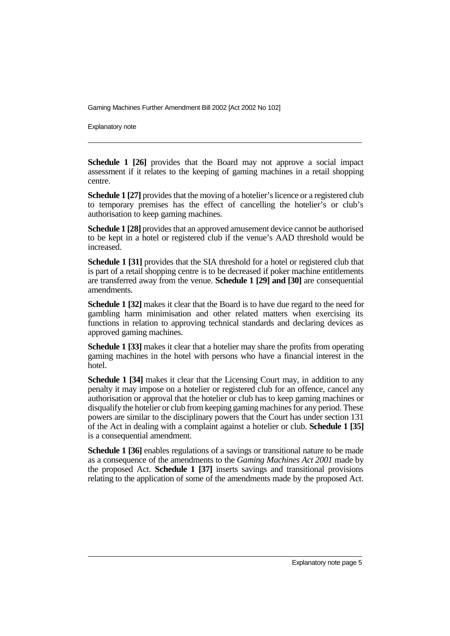Explanatory note

**Schedule 1 [26]** provides that the Board may not approve a social impact assessment if it relates to the keeping of gaming machines in a retail shopping centre.

**Schedule 1 [27]** provides that the moving of a hotelier's licence or a registered club to temporary premises has the effect of cancelling the hotelier's or club's authorisation to keep gaming machines.

**Schedule 1 [28]** provides that an approved amusement device cannot be authorised to be kept in a hotel or registered club if the venue's AAD threshold would be increased.

**Schedule 1 [31]** provides that the SIA threshold for a hotel or registered club that is part of a retail shopping centre is to be decreased if poker machine entitlements are transferred away from the venue. **Schedule 1 [29] and [30]** are consequential amendments.

**Schedule 1 [32]** makes it clear that the Board is to have due regard to the need for gambling harm minimisation and other related matters when exercising its functions in relation to approving technical standards and declaring devices as approved gaming machines.

**Schedule 1 [33]** makes it clear that a hotelier may share the profits from operating gaming machines in the hotel with persons who have a financial interest in the hotel.

**Schedule 1 [34]** makes it clear that the Licensing Court may, in addition to any penalty it may impose on a hotelier or registered club for an offence, cancel any authorisation or approval that the hotelier or club has to keep gaming machines or disqualify the hotelier or club from keeping gaming machines for any period. These powers are similar to the disciplinary powers that the Court has under section 131 of the Act in dealing with a complaint against a hotelier or club. **Schedule 1 [35]** is a consequential amendment.

**Schedule 1 [36]** enables regulations of a savings or transitional nature to be made as a consequence of the amendments to the *Gaming Machines Act 2001* made by the proposed Act. **Schedule 1 [37]** inserts savings and transitional provisions relating to the application of some of the amendments made by the proposed Act.